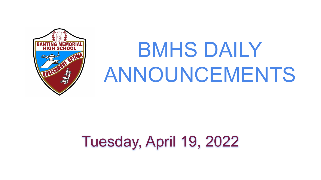

# BMHS DAILY ANNOUNCEMENTS

## Tuesday, April 19, 2022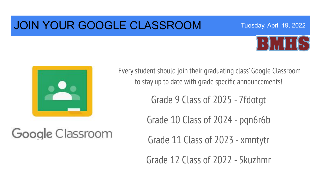### JOIN YOUR GOOGLE CLASSROOM



Tuesday, April 19, 2022



Google Classroom

Every student should join their graduating class' Google Classroom to stay up to date with grade specific announcements!

Grade 9 Class of 2025 - 7fdotgt

Grade 10 Class of 2024 - pqn6r6b

Grade 11 Class of 2023 - xmntytr

Grade 12 Class of 2022 - 5kuzhmr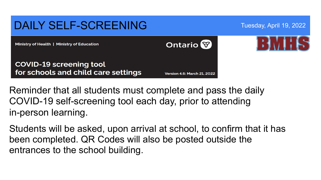

Reminder that all students must complete and pass the daily COVID-19 self-screening tool each day, prior to attending in-person learning.

Students will be asked, upon arrival at school, to confirm that it has been completed. QR Codes will also be posted outside the entrances to the school building.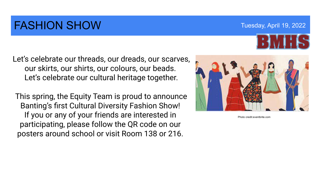### FASHION SHOW Tuesday, April 19, 2022

Let's celebrate our threads, our dreads, our scarves, our skirts, our shirts, our colours, our beads. Let's celebrate our cultural heritage together.

 This spring, the Equity Team is proud to announce Banting's first Cultural Diversity Fashion Show! If you or any of your friends are interested in participating, please follow the QR code on our posters around school or visit Room 138 or 216.



Photo credit:eventbrite.com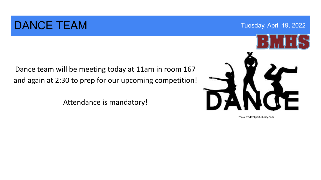### DANCE TEAM Tuesday, April 19, 2022

Dance team will be meeting today at 11am in room 167 and again at 2:30 to prep for our upcoming competition!

Attendance is mandatory!

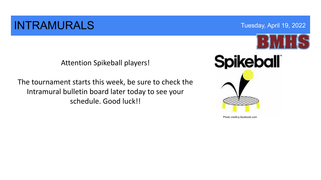### **INTRAMURALS** Tuesday, April 19, 2022



Attention Spikeball players!

The tournament starts this week, be sure to check the Intramural bulletin board later today to see your schedule. Good luck!!



Photo credit:p.facebook.com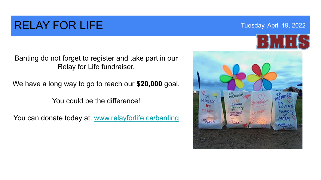### RELAY FOR LIFE THE THE THE THE THE THE THE TOP OF THE THE THE TUESDAY, April 19, 2022

Banting do not forget to register and take part in our Relay for Life fundraiser.

We have a long way to go to reach our **\$20,000** goal.

You could be the difference!

You can donate today at: [www.relayforlife.ca/banting](http://www.relayforlife.ca/banting)

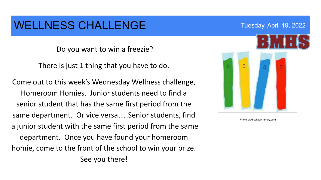### WELLNESS CHALLENGE THE THE TUESDAY, April 19, 2022

Do you want to win a freezie?

There is just 1 thing that you have to do.

Come out to this week's Wednesday Wellness challenge, Homeroom Homies. Junior students need to find a senior student that has the same first period from the same department. Or vice versa….Senior students, find a junior student with the same first period from the same department. Once you have found your homeroom homie, come to the front of the school to win your prize. See you there!

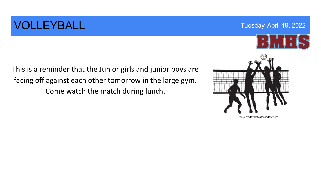### **VOLLEYBALL** Tuesday, April 19, 2022

This is a reminder that the Junior girls and junior boys are facing off against each other tomorrow in the large gym. Come watch the match during lunch.

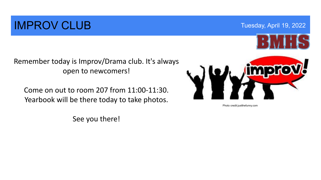### **IMPROV CLUB** Tuesday, April 19, 2022



Remember today is Improv/Drama club. It's always open to newcomers!

Come on out to room 207 from 11:00-11:30. Yearbook will be there today to take photos.



Photo credit:justthefunny.com

See you there!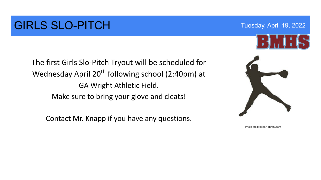### GIRLS SLO-PITCH Tuesday, April 19, 2022

The first Girls Slo-Pitch Tryout will be scheduled for Wednesday April  $20<sup>th</sup>$  following school (2:40pm) at GA Wright Athletic Field. Make sure to bring your glove and cleats!

Contact Mr. Knapp if you have any questions.

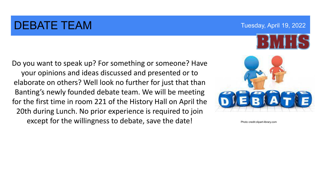### DEBATE TEAM TUESDAY Tuesday, April 19, 2022

Do you want to speak up? For something or someone? Have your opinions and ideas discussed and presented or to elaborate on others? Well look no further for just that than Banting's newly founded debate team. We will be meeting for the first time in room 221 of the History Hall on April the 20th during Lunch. No prior experience is required to join except for the willingness to debate, save the date!

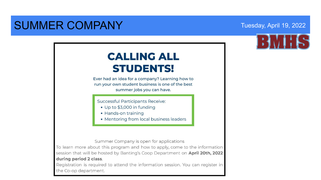### SUMMER COMPANY Tuesday, April 19, 2022



### **CALLING ALL STUDENTS!**

Ever had an idea for a company? Learning how to run your own student business is one of the best summer jobs you can have.

**Successful Participants Receive:** 

- Up to \$3,000 in funding
- Hands-on training
- Mentoring from local business leaders

Summer Company is open for applications

To learn more about this program and how to apply, come to the information session that will be hosted by Banting's Coop Department on April 20th, 2022 during period 2 class.

Registration is required to attend the information session. You can register in the Co-op department.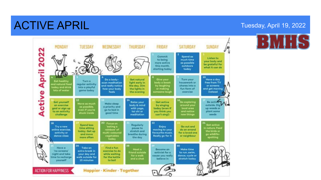### ACTIVE APRIL Tuesday, April 19, 2022